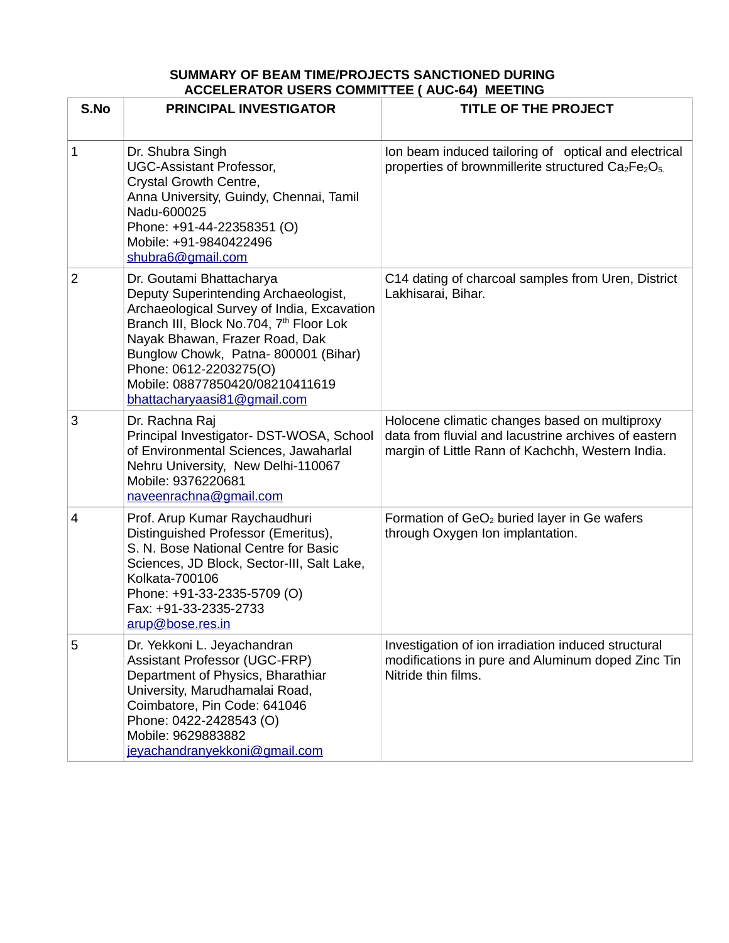## **SUMMARY OF BEAM TIME/PROJECTS SANCTIONED DURING ACCELERATOR USERS COMMITTEE ( AUC-64) MEETING**

| S.No           | <b>PRINCIPAL INVESTIGATOR</b>                                                                                                                                                                                                                                                                                                              | <b>TITLE OF THE PROJECT</b>                                                                                                                               |
|----------------|--------------------------------------------------------------------------------------------------------------------------------------------------------------------------------------------------------------------------------------------------------------------------------------------------------------------------------------------|-----------------------------------------------------------------------------------------------------------------------------------------------------------|
| $\mathbf{1}$   | Dr. Shubra Singh<br><b>UGC-Assistant Professor,</b><br>Crystal Growth Centre,<br>Anna University, Guindy, Chennai, Tamil<br>Nadu-600025<br>Phone: +91-44-22358351 (O)<br>Mobile: +91-9840422496<br>shubra6@gmail.com                                                                                                                       | Ion beam induced tailoring of optical and electrical<br>properties of brownmillerite structured $Ca2Fe2O5$                                                |
| $\overline{2}$ | Dr. Goutami Bhattacharya<br>Deputy Superintending Archaeologist,<br>Archaeological Survey of India, Excavation<br>Branch III, Block No.704, 7 <sup>th</sup> Floor Lok<br>Nayak Bhawan, Frazer Road, Dak<br>Bunglow Chowk, Patna-800001 (Bihar)<br>Phone: 0612-2203275(O)<br>Mobile: 08877850420/08210411619<br>bhattacharyaasi81@gmail.com | C14 dating of charcoal samples from Uren, District<br>Lakhisarai, Bihar.                                                                                  |
| 3              | Dr. Rachna Raj<br>Principal Investigator- DST-WOSA, School<br>of Environmental Sciences, Jawaharlal<br>Nehru University, New Delhi-110067<br>Mobile: 9376220681<br>naveenrachna@gmail.com                                                                                                                                                  | Holocene climatic changes based on multiproxy<br>data from fluvial and lacustrine archives of eastern<br>margin of Little Rann of Kachchh, Western India. |
| 4              | Prof. Arup Kumar Raychaudhuri<br>Distinguished Professor (Emeritus),<br>S. N. Bose National Centre for Basic<br>Sciences, JD Block, Sector-III, Salt Lake,<br>Kolkata-700106<br>Phone: +91-33-2335-5709 (O)<br>Fax: +91-33-2335-2733<br>arup@bose.res.in                                                                                   | Formation of GeO <sub>2</sub> buried layer in Ge wafers<br>through Oxygen Ion implantation.                                                               |
| 5              | Dr. Yekkoni L. Jeyachandran<br><b>Assistant Professor (UGC-FRP)</b><br>Department of Physics, Bharathiar<br>University, Marudhamalai Road,<br>Coimbatore, Pin Code: 641046<br>Phone: 0422-2428543 (O)<br>Mobile: 9629883882<br>jeyachandranyekkoni@gmail.com                                                                               | Investigation of ion irradiation induced structural<br>modifications in pure and Aluminum doped Zinc Tin<br>Nitride thin films.                           |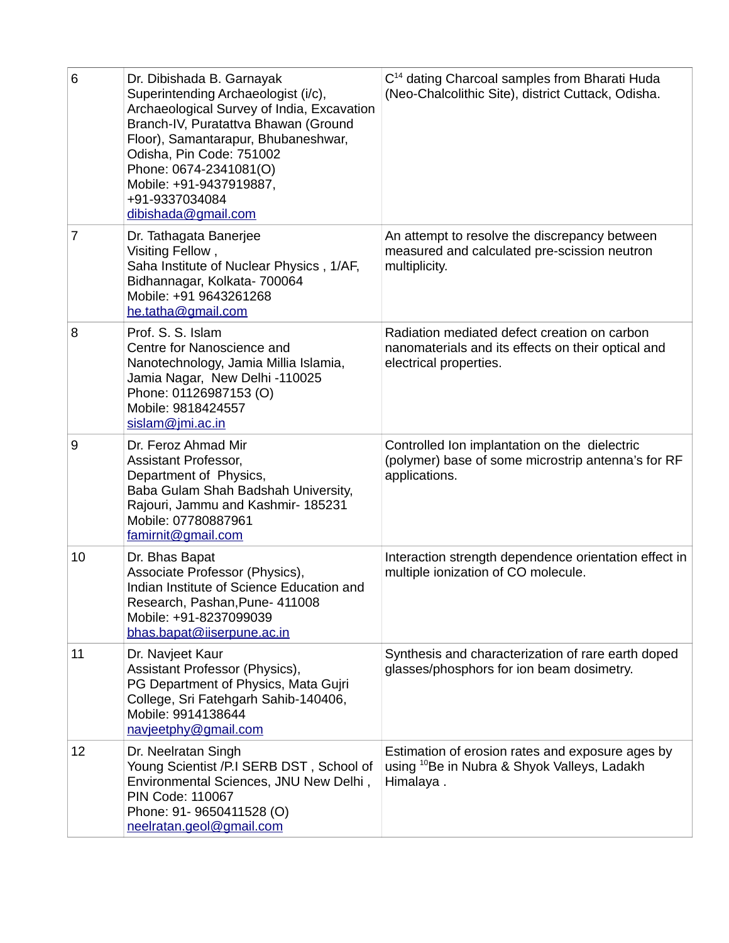| $6\phantom{1}$ | Dr. Dibishada B. Garnayak<br>Superintending Archaeologist (i/c),<br>Archaeological Survey of India, Excavation<br>Branch-IV, Puratattva Bhawan (Ground<br>Floor), Samantarapur, Bhubaneshwar,<br>Odisha, Pin Code: 751002<br>Phone: 0674-2341081(O)<br>Mobile: +91-9437919887,<br>+91-9337034084<br>dibishada@gmail.com | $C14$ dating Charcoal samples from Bharati Huda<br>(Neo-Chalcolithic Site), district Cuttack, Odisha.                        |
|----------------|-------------------------------------------------------------------------------------------------------------------------------------------------------------------------------------------------------------------------------------------------------------------------------------------------------------------------|------------------------------------------------------------------------------------------------------------------------------|
| $\overline{7}$ | Dr. Tathagata Banerjee<br>Visiting Fellow,<br>Saha Institute of Nuclear Physics, 1/AF,<br>Bidhannagar, Kolkata- 700064<br>Mobile: +91 9643261268<br>he.tatha@gmail.com                                                                                                                                                  | An attempt to resolve the discrepancy between<br>measured and calculated pre-scission neutron<br>multiplicity.               |
| 8              | Prof. S. S. Islam<br>Centre for Nanoscience and<br>Nanotechnology, Jamia Millia Islamia,<br>Jamia Nagar, New Delhi -110025<br>Phone: 01126987153 (O)<br>Mobile: 9818424557<br>sislam@jmi.ac.in                                                                                                                          | Radiation mediated defect creation on carbon<br>nanomaterials and its effects on their optical and<br>electrical properties. |
| 9              | Dr. Feroz Ahmad Mir<br>Assistant Professor,<br>Department of Physics,<br>Baba Gulam Shah Badshah University,<br>Rajouri, Jammu and Kashmir- 185231<br>Mobile: 07780887961<br>famirnit@gmail.com                                                                                                                         | Controlled Ion implantation on the dielectric<br>(polymer) base of some microstrip antenna's for RF<br>applications.         |
| 10             | Dr. Bhas Bapat<br>Associate Professor (Physics),<br>Indian Institute of Science Education and<br>Research, Pashan, Pune- 411008<br>Mobile: +91-8237099039<br>bhas.bapat@iiserpune.ac.in                                                                                                                                 | Interaction strength dependence orientation effect in<br>multiple ionization of CO molecule.                                 |
| 11             | Dr. Navjeet Kaur<br>Assistant Professor (Physics),<br>PG Department of Physics, Mata Gujri<br>College, Sri Fatehgarh Sahib-140406,<br>Mobile: 9914138644<br>navjeetphy@gmail.com                                                                                                                                        | Synthesis and characterization of rare earth doped<br>glasses/phosphors for ion beam dosimetry.                              |
| 12             | Dr. Neelratan Singh<br>Young Scientist /P.I SERB DST, School of<br>Environmental Sciences, JNU New Delhi,<br>PIN Code: 110067<br>Phone: 91- 9650411528 (O)<br>neelratan.geol@gmail.com                                                                                                                                  | Estimation of erosion rates and exposure ages by<br>using <sup>10</sup> Be in Nubra & Shyok Valleys, Ladakh<br>Himalaya.     |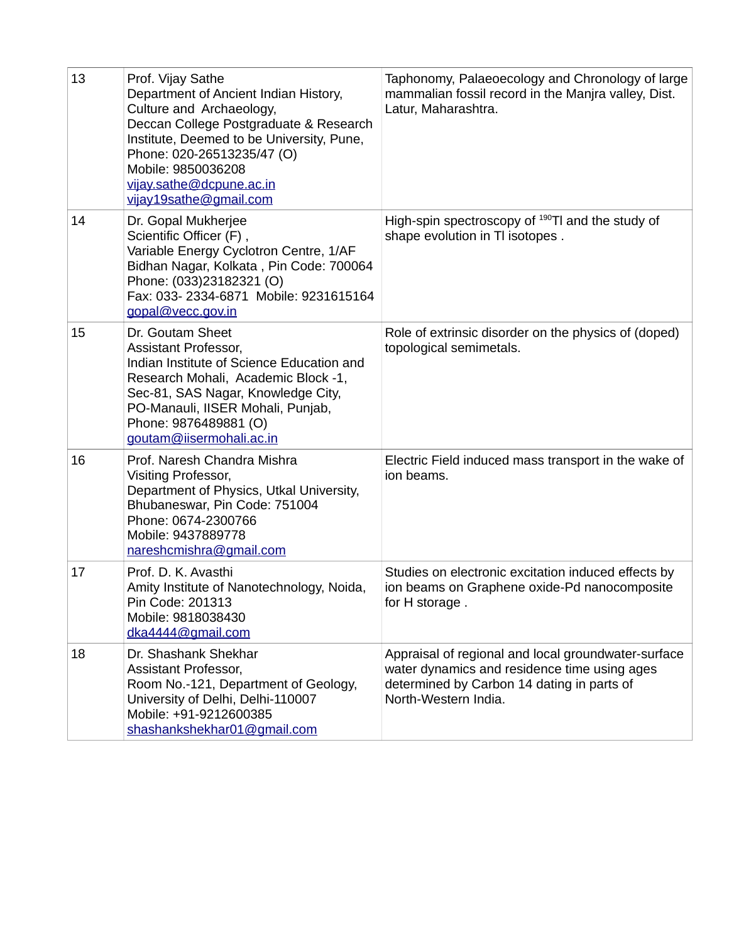| 13 | Prof. Vijay Sathe<br>Department of Ancient Indian History,<br>Culture and Archaeology,<br>Deccan College Postgraduate & Research<br>Institute, Deemed to be University, Pune,<br>Phone: 020-26513235/47 (O)<br>Mobile: 9850036208<br>vijay.sathe@dcpune.ac.in<br>vijay19sathe@gmail.com | Taphonomy, Palaeoecology and Chronology of large<br>mammalian fossil record in the Manjra valley, Dist.<br>Latur, Maharashtra.                                            |
|----|-----------------------------------------------------------------------------------------------------------------------------------------------------------------------------------------------------------------------------------------------------------------------------------------|---------------------------------------------------------------------------------------------------------------------------------------------------------------------------|
| 14 | Dr. Gopal Mukherjee<br>Scientific Officer (F),<br>Variable Energy Cyclotron Centre, 1/AF<br>Bidhan Nagar, Kolkata, Pin Code: 700064<br>Phone: (033)23182321 (O)<br>Fax: 033-2334-6871 Mobile: 9231615164<br>gopal@vecc.gov.in                                                           | High-spin spectroscopy of 190TI and the study of<br>shape evolution in TI isotopes.                                                                                       |
| 15 | Dr. Goutam Sheet<br>Assistant Professor,<br>Indian Institute of Science Education and<br>Research Mohali, Academic Block -1,<br>Sec-81, SAS Nagar, Knowledge City,<br>PO-Manauli, IISER Mohali, Punjab,<br>Phone: 9876489881 (O)<br>goutam@iisermohali.ac.in                            | Role of extrinsic disorder on the physics of (doped)<br>topological semimetals.                                                                                           |
| 16 | Prof. Naresh Chandra Mishra<br>Visiting Professor,<br>Department of Physics, Utkal University,<br>Bhubaneswar, Pin Code: 751004<br>Phone: 0674-2300766<br>Mobile: 9437889778<br>nareshcmishra@gmail.com                                                                                 | Electric Field induced mass transport in the wake of<br>ion beams.                                                                                                        |
| 17 | Prof. D. K. Avasthi<br>Amity Institute of Nanotechnology, Noida,<br>Pin Code: 201313<br>Mobile: 9818038430<br>dka4444@gmail.com                                                                                                                                                         | Studies on electronic excitation induced effects by<br>ion beams on Graphene oxide-Pd nanocomposite<br>for H storage.                                                     |
| 18 | Dr. Shashank Shekhar<br>Assistant Professor,<br>Room No.-121, Department of Geology,<br>University of Delhi, Delhi-110007<br>Mobile: +91-9212600385<br>shashankshekhar01@gmail.com                                                                                                      | Appraisal of regional and local groundwater-surface<br>water dynamics and residence time using ages<br>determined by Carbon 14 dating in parts of<br>North-Western India. |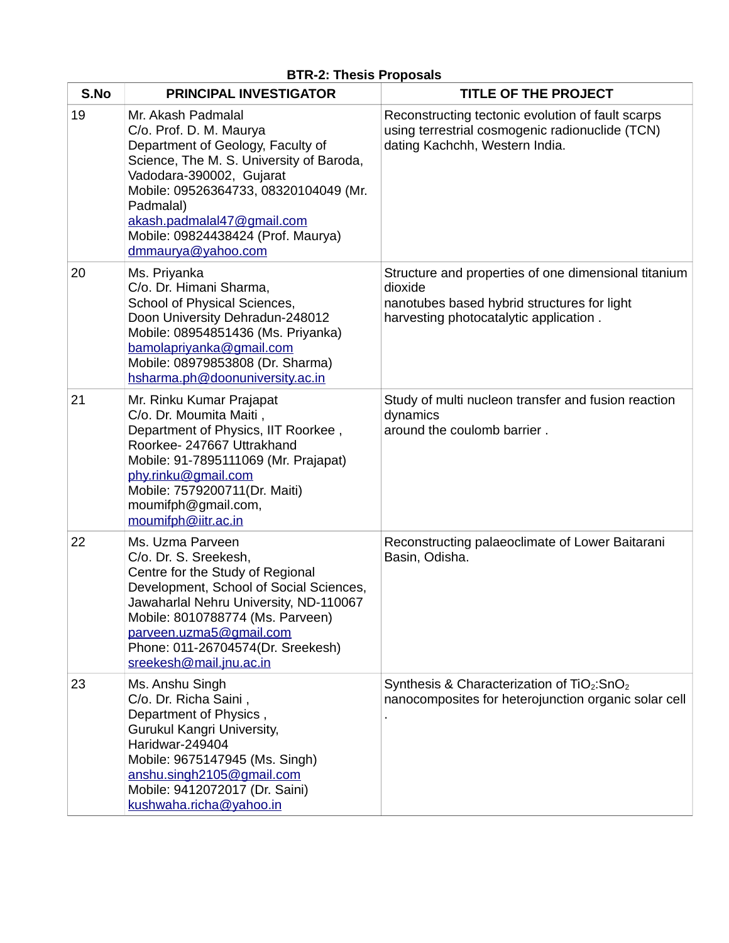| S.No | <b>PRINCIPAL INVESTIGATOR</b>                                                                                                                                                                                                                                                                              | TITLE OF THE PROJECT                                                                                                                                     |
|------|------------------------------------------------------------------------------------------------------------------------------------------------------------------------------------------------------------------------------------------------------------------------------------------------------------|----------------------------------------------------------------------------------------------------------------------------------------------------------|
| 19   | Mr. Akash Padmalal<br>C/o. Prof. D. M. Maurya<br>Department of Geology, Faculty of<br>Science, The M. S. University of Baroda,<br>Vadodara-390002, Gujarat<br>Mobile: 09526364733, 08320104049 (Mr.<br>Padmalal)<br>akash.padmalal47@gmail.com<br>Mobile: 09824438424 (Prof. Maurya)<br>dmmaurya@yahoo.com | Reconstructing tectonic evolution of fault scarps<br>using terrestrial cosmogenic radionuclide (TCN)<br>dating Kachchh, Western India.                   |
| 20   | Ms. Priyanka<br>C/o. Dr. Himani Sharma,<br>School of Physical Sciences,<br>Doon University Dehradun-248012<br>Mobile: 08954851436 (Ms. Priyanka)<br>bamolapriyanka@gmail.com<br>Mobile: 08979853808 (Dr. Sharma)<br>hsharma.ph@doonuniversity.ac.in                                                        | Structure and properties of one dimensional titanium<br>dioxide<br>nanotubes based hybrid structures for light<br>harvesting photocatalytic application. |
| 21   | Mr. Rinku Kumar Prajapat<br>C/o. Dr. Moumita Maiti,<br>Department of Physics, IIT Roorkee,<br>Roorkee- 247667 Uttrakhand<br>Mobile: 91-7895111069 (Mr. Prajapat)<br>phy.rinku@gmail.com<br>Mobile: 7579200711(Dr. Maiti)<br>moumifph@gmail.com,<br>moumifph@iitr.ac.in                                     | Study of multi nucleon transfer and fusion reaction<br>dynamics<br>around the coulomb barrier.                                                           |
| 22   | Ms. Uzma Parveen<br>C/o. Dr. S. Sreekesh,<br>Centre for the Study of Regional<br>Development, School of Social Sciences,<br>Jawaharlal Nehru University, ND-110067<br>Mobile: 8010788774 (Ms. Parveen)<br>parveen.uzma5@gmail.com<br>Phone: 011-26704574(Dr. Sreekesh)<br>sreekesh@mail.jnu.ac.in          | Reconstructing palaeoclimate of Lower Baitarani<br>Basin, Odisha.                                                                                        |
| 23   | Ms. Anshu Singh<br>C/o. Dr. Richa Saini,<br>Department of Physics,<br>Gurukul Kangri University,<br>Haridwar-249404<br>Mobile: 9675147945 (Ms. Singh)<br>anshu.singh2105@gmail.com<br>Mobile: 9412072017 (Dr. Saini)<br>kushwaha.richa@yahoo.in                                                            | Synthesis & Characterization of TiO <sub>2</sub> :SnO <sub>2</sub><br>nanocomposites for heterojunction organic solar cell                               |

## **BTR-2: Thesis Proposals**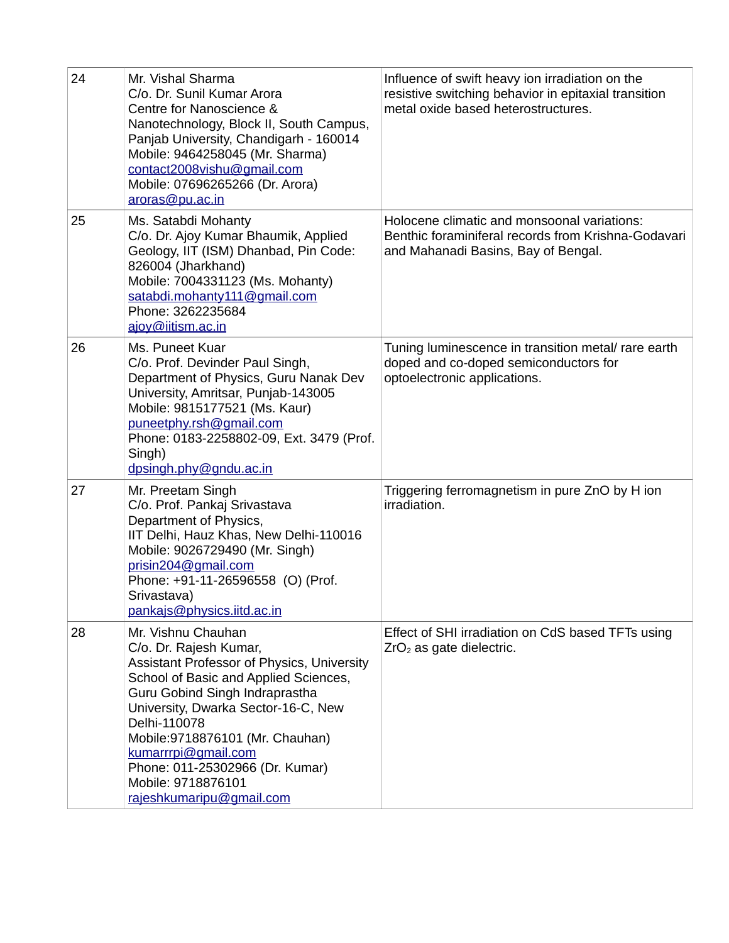| 24 | Mr. Vishal Sharma<br>C/o. Dr. Sunil Kumar Arora<br>Centre for Nanoscience &<br>Nanotechnology, Block II, South Campus,<br>Panjab University, Chandigarh - 160014<br>Mobile: 9464258045 (Mr. Sharma)<br>contact2008vishu@gmail.com<br>Mobile: 07696265266 (Dr. Arora)<br>aroras@pu.ac.in                                                                                      | Influence of swift heavy ion irradiation on the<br>resistive switching behavior in epitaxial transition<br>metal oxide based heterostructures. |
|----|------------------------------------------------------------------------------------------------------------------------------------------------------------------------------------------------------------------------------------------------------------------------------------------------------------------------------------------------------------------------------|------------------------------------------------------------------------------------------------------------------------------------------------|
| 25 | Ms. Satabdi Mohanty<br>C/o. Dr. Ajoy Kumar Bhaumik, Applied<br>Geology, IIT (ISM) Dhanbad, Pin Code:<br>826004 (Jharkhand)<br>Mobile: 7004331123 (Ms. Mohanty)<br>satabdi.mohanty111@gmail.com<br>Phone: 3262235684<br>ajoy@iitism.ac.in                                                                                                                                     | Holocene climatic and monsoonal variations:<br>Benthic foraminiferal records from Krishna-Godavari<br>and Mahanadi Basins, Bay of Bengal.      |
| 26 | Ms. Puneet Kuar<br>C/o. Prof. Devinder Paul Singh,<br>Department of Physics, Guru Nanak Dev<br>University, Amritsar, Punjab-143005<br>Mobile: 9815177521 (Ms. Kaur)<br>puneetphy.rsh@gmail.com<br>Phone: 0183-2258802-09, Ext. 3479 (Prof.<br>Singh)<br>dpsingh.phy@gndu.ac.in                                                                                               | Tuning luminescence in transition metal/ rare earth<br>doped and co-doped semiconductors for<br>optoelectronic applications.                   |
| 27 | Mr. Preetam Singh<br>C/o. Prof. Pankaj Srivastava<br>Department of Physics,<br>IIT Delhi, Hauz Khas, New Delhi-110016<br>Mobile: 9026729490 (Mr. Singh)<br>prisin204@gmail.com<br>Phone: +91-11-26596558 (O) (Prof.<br>Srivastava)<br>pankajs@physics.iitd.ac.in                                                                                                             | Triggering ferromagnetism in pure ZnO by H ion<br>irradiation.                                                                                 |
| 28 | Mr. Vishnu Chauhan<br>C/o. Dr. Rajesh Kumar,<br>Assistant Professor of Physics, University<br>School of Basic and Applied Sciences,<br>Guru Gobind Singh Indraprastha<br>University, Dwarka Sector-16-C, New<br>Delhi-110078<br>Mobile: 9718876101 (Mr. Chauhan)<br>kumarrrpi@gmail.com<br>Phone: 011-25302966 (Dr. Kumar)<br>Mobile: 9718876101<br>rajeshkumaripu@gmail.com | Effect of SHI irradiation on CdS based TFTs using<br>$ZrO2$ as gate dielectric.                                                                |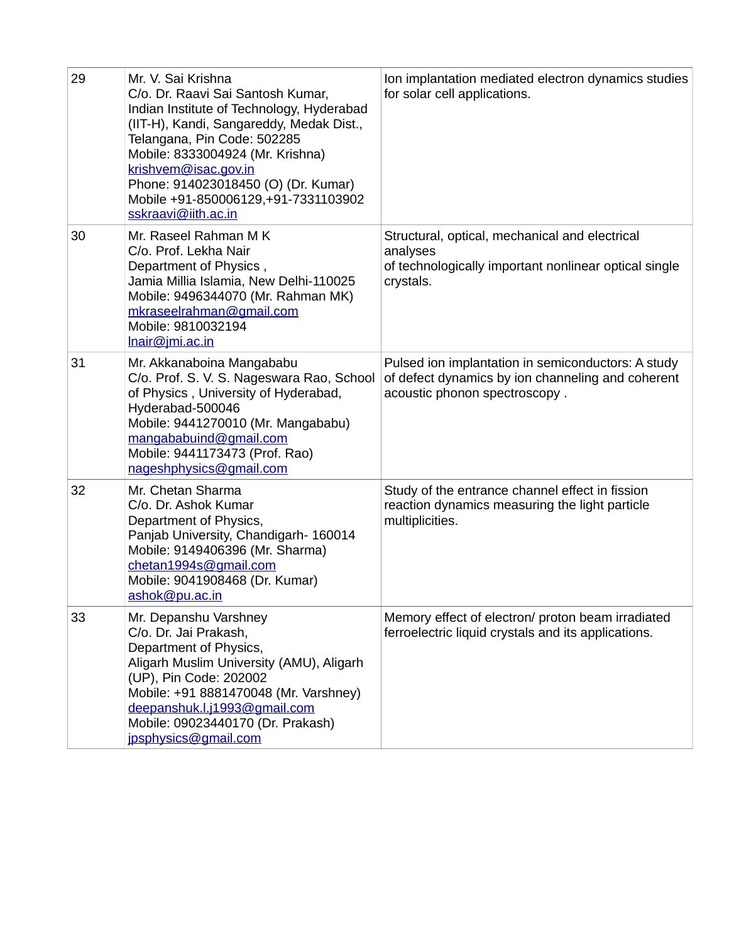| 29 | Mr. V. Sai Krishna<br>C/o. Dr. Raavi Sai Santosh Kumar,<br>Indian Institute of Technology, Hyderabad<br>(IIT-H), Kandi, Sangareddy, Medak Dist.,<br>Telangana, Pin Code: 502285<br>Mobile: 8333004924 (Mr. Krishna)<br>krishvem@isac.gov.in<br>Phone: 914023018450 (O) (Dr. Kumar)<br>Mobile +91-850006129, +91-7331103902<br>sskraavi@iith.ac.in | Ion implantation mediated electron dynamics studies<br>for solar cell applications.                                                      |
|----|---------------------------------------------------------------------------------------------------------------------------------------------------------------------------------------------------------------------------------------------------------------------------------------------------------------------------------------------------|------------------------------------------------------------------------------------------------------------------------------------------|
| 30 | Mr. Raseel Rahman M K<br>C/o. Prof. Lekha Nair<br>Department of Physics,<br>Jamia Millia Islamia, New Delhi-110025<br>Mobile: 9496344070 (Mr. Rahman MK)<br>mkraseelrahman@gmail.com<br>Mobile: 9810032194<br>Inair@jmi.ac.in                                                                                                                     | Structural, optical, mechanical and electrical<br>analyses<br>of technologically important nonlinear optical single<br>crystals.         |
| 31 | Mr. Akkanaboina Mangababu<br>C/o. Prof. S. V. S. Nageswara Rao, School<br>of Physics, University of Hyderabad,<br>Hyderabad-500046<br>Mobile: 9441270010 (Mr. Mangababu)<br>mangababuind@gmail.com<br>Mobile: 9441173473 (Prof. Rao)<br>nageshphysics@gmail.com                                                                                   | Pulsed ion implantation in semiconductors: A study<br>of defect dynamics by ion channeling and coherent<br>acoustic phonon spectroscopy. |
| 32 | Mr. Chetan Sharma<br>C/o. Dr. Ashok Kumar<br>Department of Physics,<br>Panjab University, Chandigarh-160014<br>Mobile: 9149406396 (Mr. Sharma)<br>chetan1994s@gmail.com<br>Mobile: 9041908468 (Dr. Kumar)<br>ashok@pu.ac.in                                                                                                                       | Study of the entrance channel effect in fission<br>reaction dynamics measuring the light particle<br>multiplicities.                     |
| 33 | Mr. Depanshu Varshney<br>C/o. Dr. Jai Prakash,<br>Department of Physics,<br>Aligarh Muslim University (AMU), Aligarh<br>(UP), Pin Code: 202002<br>Mobile: +91 8881470048 (Mr. Varshney)<br>deepanshuk.l.j1993@gmail.com<br>Mobile: 09023440170 (Dr. Prakash)<br>jpsphysics@gmail.com                                                              | Memory effect of electron/ proton beam irradiated<br>ferroelectric liquid crystals and its applications.                                 |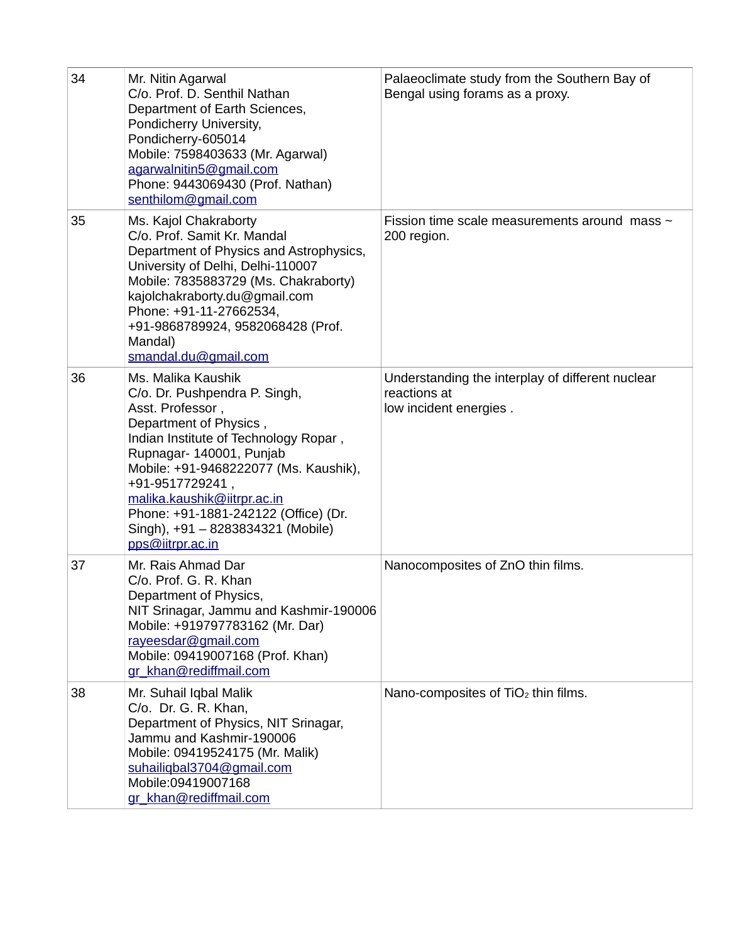| 34 | Mr. Nitin Agarwal<br>C/o. Prof. D. Senthil Nathan<br>Department of Earth Sciences,<br>Pondicherry University,<br>Pondicherry-605014<br>Mobile: 7598403633 (Mr. Agarwal)<br>agarwalnitin5@gmail.com<br>Phone: 9443069430 (Prof. Nathan)<br>senthilom@gmail.com                                                                                                     | Palaeoclimate study from the Southern Bay of<br>Bengal using forams as a proxy.            |
|----|-------------------------------------------------------------------------------------------------------------------------------------------------------------------------------------------------------------------------------------------------------------------------------------------------------------------------------------------------------------------|--------------------------------------------------------------------------------------------|
| 35 | Ms. Kajol Chakraborty<br>C/o. Prof. Samit Kr. Mandal<br>Department of Physics and Astrophysics,<br>University of Delhi, Delhi-110007<br>Mobile: 7835883729 (Ms. Chakraborty)<br>kajolchakraborty.du@gmail.com<br>Phone: +91-11-27662534,<br>+91-9868789924, 9582068428 (Prof.<br>Mandal)<br>smandal.du@gmail.com                                                  | Fission time scale measurements around mass $\sim$<br>200 region.                          |
| 36 | Ms. Malika Kaushik<br>C/o. Dr. Pushpendra P. Singh,<br>Asst. Professor,<br>Department of Physics,<br>Indian Institute of Technology Ropar,<br>Rupnagar-140001, Punjab<br>Mobile: +91-9468222077 (Ms. Kaushik),<br>+91-9517729241,<br>malika.kaushik@iitrpr.ac.in<br>Phone: +91-1881-242122 (Office) (Dr.<br>Singh), +91 - 8283834321 (Mobile)<br>pps@iitrpr.ac.in | Understanding the interplay of different nuclear<br>reactions at<br>low incident energies. |
| 37 | Mr. Rais Ahmad Dar<br>C/o. Prof. G. R. Khan<br>Department of Physics<br>NIT Srinagar, Jammu and Kashmir-190006<br>Mobile: +919797783162 (Mr. Dar)<br>rayeesdar@gmail.com<br>Mobile: 09419007168 (Prof. Khan)<br>gr khan@rediffmail.com                                                                                                                            | Nanocomposites of ZnO thin films.                                                          |
| 38 | Mr. Suhail Iqbal Malik<br>C/o. Dr. G. R. Khan,<br>Department of Physics, NIT Srinagar,<br>Jammu and Kashmir-190006<br>Mobile: 09419524175 (Mr. Malik)<br>suhailigbal3704@gmail.com<br>Mobile:09419007168<br>gr khan@rediffmail.com                                                                                                                                | Nano-composites of TiO <sub>2</sub> thin films.                                            |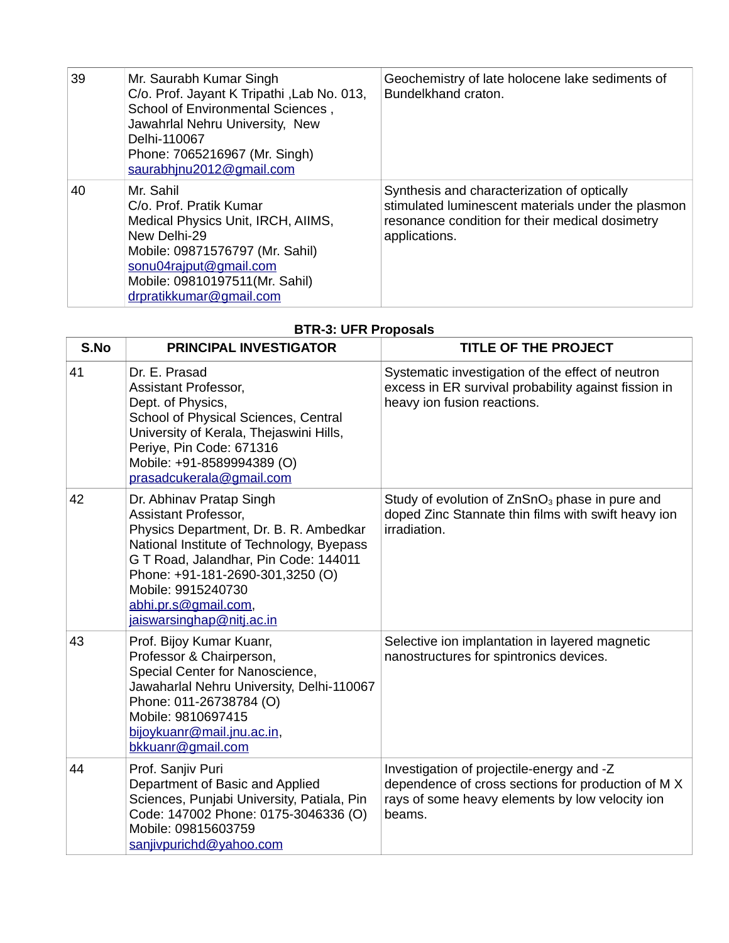| 39 | Mr. Saurabh Kumar Singh<br>C/o. Prof. Jayant K Tripathi, Lab No. 013,<br>School of Environmental Sciences,<br>Jawahrlal Nehru University, New<br>Delhi-110067<br>Phone: 7065216967 (Mr. Singh)<br>saurabhjnu2012@gmail.com | Geochemistry of late holocene lake sediments of<br>Bundelkhand craton.                                                                                                |
|----|----------------------------------------------------------------------------------------------------------------------------------------------------------------------------------------------------------------------------|-----------------------------------------------------------------------------------------------------------------------------------------------------------------------|
| 40 | Mr. Sahil<br>C/o. Prof. Pratik Kumar<br>Medical Physics Unit, IRCH, AIIMS,<br>New Delhi-29<br>Mobile: 09871576797 (Mr. Sahil)<br>sonu04rajput@gmail.com<br>Mobile: 09810197511(Mr. Sahil)<br>drpratikkumar@gmail.com       | Synthesis and characterization of optically<br>stimulated luminescent materials under the plasmon<br>resonance condition for their medical dosimetry<br>applications. |

## **BTR-3: UFR Proposals**

| S.No | <b>PRINCIPAL INVESTIGATOR</b>                                                                                                                                                                                                                                                                   | <b>TITLE OF THE PROJECT</b>                                                                                                                                  |
|------|-------------------------------------------------------------------------------------------------------------------------------------------------------------------------------------------------------------------------------------------------------------------------------------------------|--------------------------------------------------------------------------------------------------------------------------------------------------------------|
| 41   | Dr. E. Prasad<br>Assistant Professor,<br>Dept. of Physics,<br>School of Physical Sciences, Central<br>University of Kerala, Thejaswini Hills,<br>Periye, Pin Code: 671316<br>Mobile: +91-8589994389 (O)<br>prasadcukerala@gmail.com                                                             | Systematic investigation of the effect of neutron<br>excess in ER survival probability against fission in<br>heavy ion fusion reactions.                     |
| 42   | Dr. Abhinav Pratap Singh<br>Assistant Professor,<br>Physics Department, Dr. B. R. Ambedkar<br>National Institute of Technology, Byepass<br>G T Road, Jalandhar, Pin Code: 144011<br>Phone: +91-181-2690-301,3250 (O)<br>Mobile: 9915240730<br>abhi.pr.s@gmail.com,<br>jaiswarsinghap@nitj.ac.in | Study of evolution of ZnSnO <sub>3</sub> phase in pure and<br>doped Zinc Stannate thin films with swift heavy ion<br>irradiation.                            |
| 43   | Prof. Bijoy Kumar Kuanr,<br>Professor & Chairperson,<br>Special Center for Nanoscience,<br>Jawaharlal Nehru University, Delhi-110067<br>Phone: 011-26738784 (O)<br>Mobile: 9810697415<br>bijoykuanr@mail.jnu.ac.in,<br>bkkuanr@gmail.com                                                        | Selective ion implantation in layered magnetic<br>nanostructures for spintronics devices.                                                                    |
| 44   | Prof. Sanjiv Puri<br>Department of Basic and Applied<br>Sciences, Punjabi University, Patiala, Pin<br>Code: 147002 Phone: 0175-3046336 (O)<br>Mobile: 09815603759<br>sanjivpurichd@yahoo.com                                                                                                    | Investigation of projectile-energy and -Z<br>dependence of cross sections for production of M X<br>rays of some heavy elements by low velocity ion<br>beams. |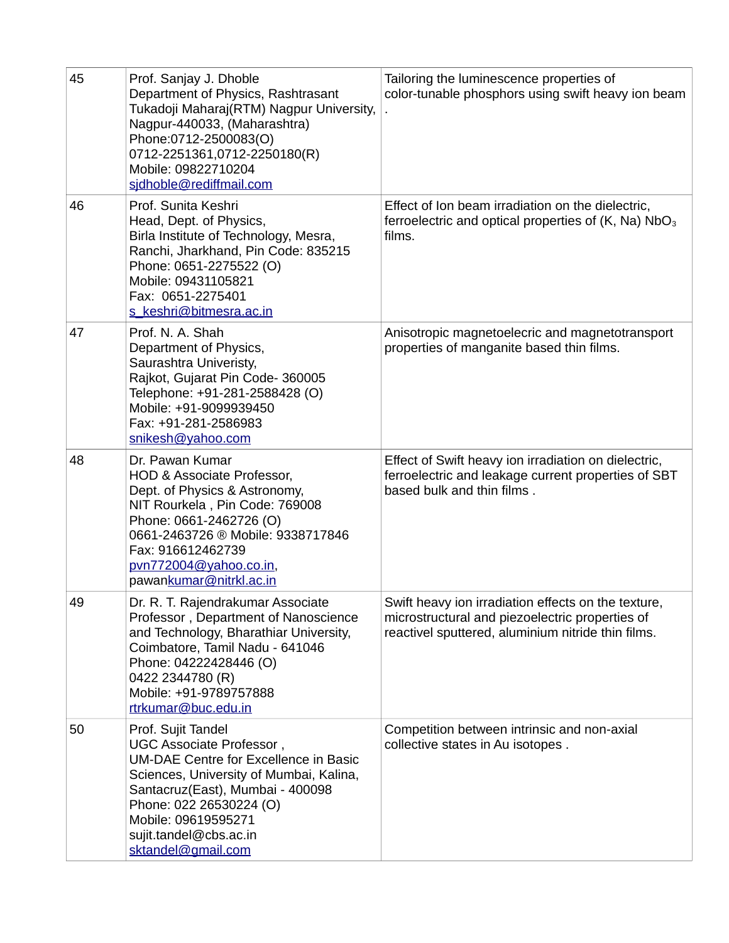| 45 | Prof. Sanjay J. Dhoble<br>Department of Physics, Rashtrasant<br>Tukadoji Maharaj(RTM) Nagpur University,<br>Nagpur-440033, (Maharashtra)<br>Phone:0712-2500083(O)<br>0712-2251361,0712-2250180(R)<br>Mobile: 09822710204<br>sidhoble@rediffmail.com                             | Tailoring the luminescence properties of<br>color-tunable phosphors using swift heavy ion beam                                                               |
|----|---------------------------------------------------------------------------------------------------------------------------------------------------------------------------------------------------------------------------------------------------------------------------------|--------------------------------------------------------------------------------------------------------------------------------------------------------------|
| 46 | Prof. Sunita Keshri<br>Head, Dept. of Physics,<br>Birla Institute of Technology, Mesra,<br>Ranchi, Jharkhand, Pin Code: 835215<br>Phone: 0651-2275522 (O)<br>Mobile: 09431105821<br>Fax: 0651-2275401<br>s keshri@bitmesra.ac.in                                                | Effect of Ion beam irradiation on the dielectric,<br>ferroelectric and optical properties of $(K, Na) NbO3$<br>films.                                        |
| 47 | Prof. N. A. Shah<br>Department of Physics,<br>Saurashtra Univeristy,<br>Rajkot, Gujarat Pin Code-360005<br>Telephone: +91-281-2588428 (O)<br>Mobile: +91-9099939450<br>Fax: +91-281-2586983<br>snikesh@yahoo.com                                                                | Anisotropic magnetoelecric and magnetotransport<br>properties of manganite based thin films.                                                                 |
| 48 | Dr. Pawan Kumar<br>HOD & Associate Professor,<br>Dept. of Physics & Astronomy,<br>NIT Rourkela, Pin Code: 769008<br>Phone: 0661-2462726 (O)<br>0661-2463726 ® Mobile: 9338717846<br>Fax: 916612462739<br>pvn772004@yahoo.co.in,<br>pawankumar@nitrkl.ac.in                      | Effect of Swift heavy ion irradiation on dielectric,<br>ferroelectric and leakage current properties of SBT<br>based bulk and thin films.                    |
| 49 | Dr. R. T. Rajendrakumar Associate<br>Professor, Department of Nanoscience<br>and Technology, Bharathiar University,<br>Coimbatore, Tamil Nadu - 641046<br>Phone: 04222428446 (O)<br>0422 2344780 (R)<br>Mobile: +91-9789757888<br>rtrkumar@buc.edu.in                           | Swift heavy ion irradiation effects on the texture,<br>microstructural and piezoelectric properties of<br>reactivel sputtered, aluminium nitride thin films. |
| 50 | Prof. Sujit Tandel<br>UGC Associate Professor,<br><b>UM-DAE Centre for Excellence in Basic</b><br>Sciences, University of Mumbai, Kalina,<br>Santacruz(East), Mumbai - 400098<br>Phone: 022 26530224 (O)<br>Mobile: 09619595271<br>sujit.tandel@cbs.ac.in<br>sktandel@gmail.com | Competition between intrinsic and non-axial<br>collective states in Au isotopes.                                                                             |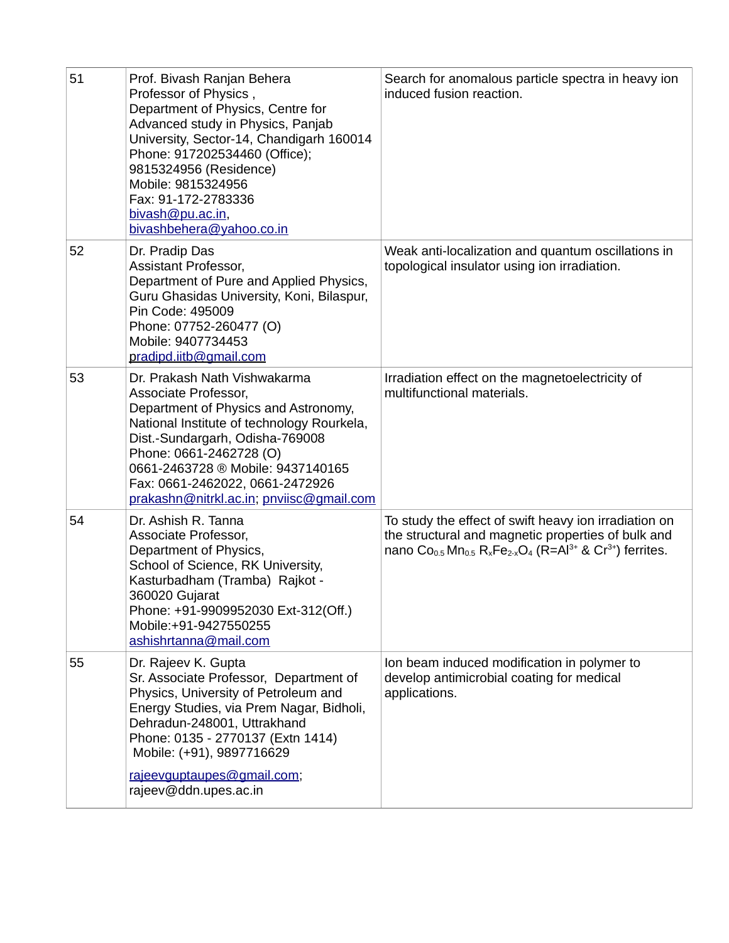| 51 | Prof. Bivash Ranjan Behera<br>Professor of Physics,<br>Department of Physics, Centre for<br>Advanced study in Physics, Panjab<br>University, Sector-14, Chandigarh 160014<br>Phone: 917202534460 (Office);<br>9815324956 (Residence)<br>Mobile: 9815324956<br>Fax: 91-172-2783336<br>bivash@pu.ac.in,<br>bivashbehera@yahoo.co.in | Search for anomalous particle spectra in heavy ion<br>induced fusion reaction.                                                                                                                                                                             |
|----|-----------------------------------------------------------------------------------------------------------------------------------------------------------------------------------------------------------------------------------------------------------------------------------------------------------------------------------|------------------------------------------------------------------------------------------------------------------------------------------------------------------------------------------------------------------------------------------------------------|
| 52 | Dr. Pradip Das<br>Assistant Professor,<br>Department of Pure and Applied Physics,<br>Guru Ghasidas University, Koni, Bilaspur,<br>Pin Code: 495009<br>Phone: 07752-260477 (O)<br>Mobile: 9407734453<br>pradipd.iitb@gmail.com                                                                                                     | Weak anti-localization and quantum oscillations in<br>topological insulator using ion irradiation.                                                                                                                                                         |
| 53 | Dr. Prakash Nath Vishwakarma<br>Associate Professor,<br>Department of Physics and Astronomy,<br>National Institute of technology Rourkela,<br>Dist.-Sundargarh, Odisha-769008<br>Phone: 0661-2462728 (O)<br>0661-2463728 ® Mobile: 9437140165<br>Fax: 0661-2462022, 0661-2472926<br>prakashn@nitrkl.ac.in; pnviisc@gmail.com      | Irradiation effect on the magnetoelectricity of<br>multifunctional materials.                                                                                                                                                                              |
| 54 | Dr. Ashish R. Tanna<br>Associate Professor,<br>Department of Physics,<br>School of Science, RK University,<br>Kasturbadham (Tramba) Rajkot -<br>360020 Gujarat<br>Phone: +91-9909952030 Ext-312(Off.)<br>Mobile:+91-9427550255<br>ashishrtanna@mail.com                                                                           | To study the effect of swift heavy ion irradiation on<br>the structural and magnetic properties of bulk and<br>nano Co <sub>0.5</sub> Mn <sub>0.5</sub> R <sub>x</sub> Fe <sub>2-x</sub> O <sub>4</sub> (R=Al <sup>3+</sup> & Cr <sup>3+</sup> ) ferrites. |
| 55 | Dr. Rajeev K. Gupta<br>Sr. Associate Professor, Department of<br>Physics, University of Petroleum and<br>Energy Studies, via Prem Nagar, Bidholi,<br>Dehradun-248001, Uttrakhand<br>Phone: 0135 - 2770137 (Extn 1414)<br>Mobile: (+91), 9897716629<br>rajeevguptaupes@gmail.com;<br>rajeev@ddn.upes.ac.in                         | Ion beam induced modification in polymer to<br>develop antimicrobial coating for medical<br>applications.                                                                                                                                                  |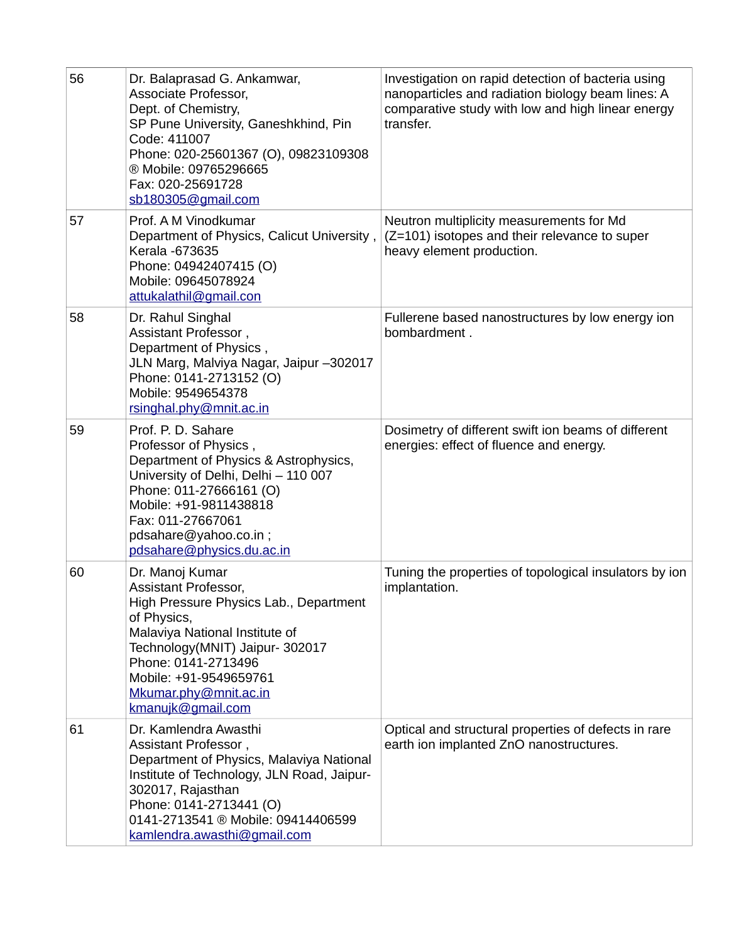| 56 | Dr. Balaprasad G. Ankamwar,<br>Associate Professor,<br>Dept. of Chemistry,<br>SP Pune University, Ganeshkhind, Pin<br>Code: 411007<br>Phone: 020-25601367 (O), 09823109308<br>® Mobile: 09765296665<br>Fax: 020-25691728<br>sb180305@gmail.com                       | Investigation on rapid detection of bacteria using<br>nanoparticles and radiation biology beam lines: A<br>comparative study with low and high linear energy<br>transfer. |
|----|----------------------------------------------------------------------------------------------------------------------------------------------------------------------------------------------------------------------------------------------------------------------|---------------------------------------------------------------------------------------------------------------------------------------------------------------------------|
| 57 | Prof. A M Vinodkumar<br>Department of Physics, Calicut University,<br>Kerala -673635<br>Phone: 04942407415 (O)<br>Mobile: 09645078924<br>attukalathil@gmail.con                                                                                                      | Neutron multiplicity measurements for Md<br>(Z=101) isotopes and their relevance to super<br>heavy element production.                                                    |
| 58 | Dr. Rahul Singhal<br>Assistant Professor,<br>Department of Physics,<br>JLN Marg, Malviya Nagar, Jaipur -302017<br>Phone: 0141-2713152 (O)<br>Mobile: 9549654378<br>rsinghal.phy@mnit.ac.in                                                                           | Fullerene based nanostructures by low energy ion<br>bombardment.                                                                                                          |
| 59 | Prof. P. D. Sahare<br>Professor of Physics,<br>Department of Physics & Astrophysics,<br>University of Delhi, Delhi - 110 007<br>Phone: 011-27666161 (O)<br>Mobile: +91-9811438818<br>Fax: 011-27667061<br>pdsahare@yahoo.co.in;<br>pdsahare@physics.du.ac.in         | Dosimetry of different swift ion beams of different<br>energies: effect of fluence and energy.                                                                            |
| 60 | Dr. Manoj Kumar<br>Assistant Professor,<br>High Pressure Physics Lab., Department<br>of Physics,<br>Malaviya National Institute of<br>Technology(MNIT) Jaipur- 302017<br>Phone: 0141-2713496<br>Mobile: +91-9549659761<br>Mkumar.phy@mnit.ac.in<br>kmanujk@gmail.com | Tuning the properties of topological insulators by ion<br>implantation.                                                                                                   |
| 61 | Dr. Kamlendra Awasthi<br>Assistant Professor,<br>Department of Physics, Malaviya National<br>Institute of Technology, JLN Road, Jaipur-<br>302017, Rajasthan<br>Phone: 0141-2713441 (O)<br>0141-2713541 ® Mobile: 09414406599<br>kamlendra.awasthi@gmail.com         | Optical and structural properties of defects in rare<br>earth ion implanted ZnO nanostructures.                                                                           |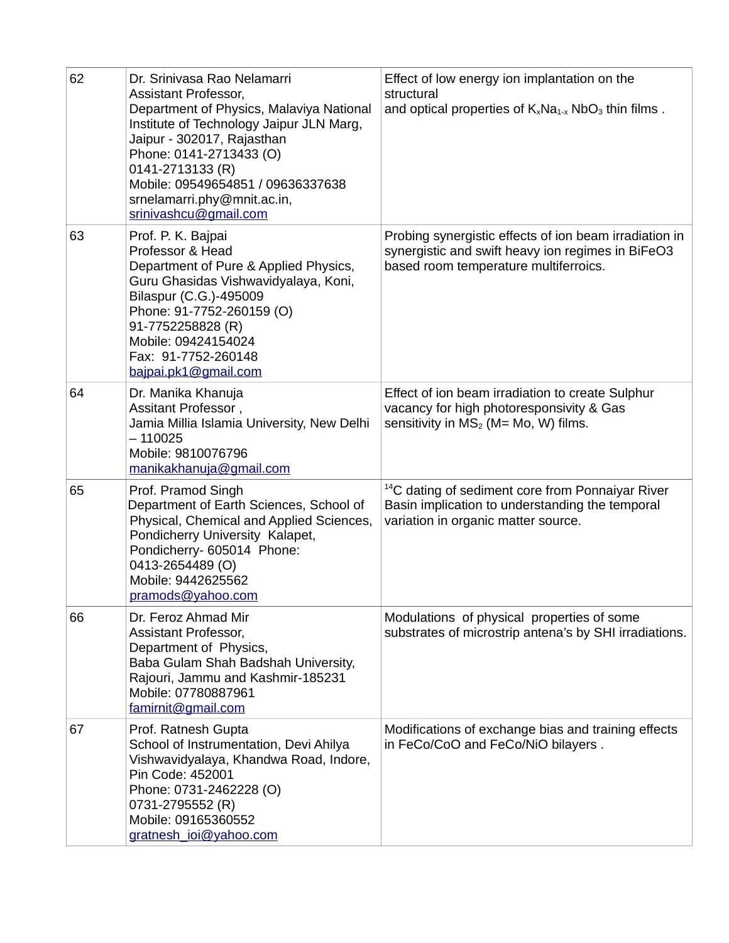| 62 | Dr. Srinivasa Rao Nelamarri<br>Assistant Professor,<br>Department of Physics, Malaviya National<br>Institute of Technology Jaipur JLN Marg,<br>Jaipur - 302017, Rajasthan<br>Phone: 0141-2713433 (O)<br>0141-2713133 (R)<br>Mobile: 09549654851 / 09636337638<br>srnelamarri.phy@mnit.ac.in,<br>srinivashcu@gmail.com | Effect of low energy ion implantation on the<br>structural<br>and optical properties of $K_xNa_{1-x}NbO_3$ thin films.                                 |
|----|-----------------------------------------------------------------------------------------------------------------------------------------------------------------------------------------------------------------------------------------------------------------------------------------------------------------------|--------------------------------------------------------------------------------------------------------------------------------------------------------|
| 63 | Prof. P. K. Bajpai<br>Professor & Head<br>Department of Pure & Applied Physics,<br>Guru Ghasidas Vishwavidyalaya, Koni,<br>Bilaspur (C.G.)-495009<br>Phone: 91-7752-260159 (O)<br>91-7752258828 (R)<br>Mobile: 09424154024<br>Fax: 91-7752-260148<br>bajpai.pk1@gmail.com                                             | Probing synergistic effects of ion beam irradiation in<br>synergistic and swift heavy ion regimes in BiFeO3<br>based room temperature multiferroics.   |
| 64 | Dr. Manika Khanuja<br>Assitant Professor,<br>Jamia Millia Islamia University, New Delhi<br>$-110025$<br>Mobile: 9810076796<br>manikakhanuja@gmail.com                                                                                                                                                                 | Effect of ion beam irradiation to create Sulphur<br>vacancy for high photoresponsivity & Gas<br>sensitivity in $MS2$ (M= Mo, W) films.                 |
| 65 | Prof. Pramod Singh<br>Department of Earth Sciences, School of<br>Physical, Chemical and Applied Sciences,<br>Pondicherry University Kalapet,<br>Pondicherry- 605014 Phone:<br>0413-2654489 (O)<br>Mobile: 9442625562<br>pramods@yahoo.com                                                                             | <sup>14</sup> C dating of sediment core from Ponnaiyar River<br>Basin implication to understanding the temporal<br>variation in organic matter source. |
| 66 | Dr. Feroz Ahmad Mir<br>Assistant Professor,<br>Department of Physics,<br>Baba Gulam Shah Badshah University,<br>Rajouri, Jammu and Kashmir-185231<br>Mobile: 07780887961<br>famirnit@gmail.com                                                                                                                        | Modulations of physical properties of some<br>substrates of microstrip antena's by SHI irradiations.                                                   |
| 67 | Prof. Ratnesh Gupta<br>School of Instrumentation, Devi Ahilya<br>Vishwavidyalaya, Khandwa Road, Indore,<br>Pin Code: 452001<br>Phone: 0731-2462228 (O)<br>0731-2795552 (R)<br>Mobile: 09165360552<br>gratnesh ioi@yahoo.com                                                                                           | Modifications of exchange bias and training effects<br>in FeCo/CoO and FeCo/NiO bilayers.                                                              |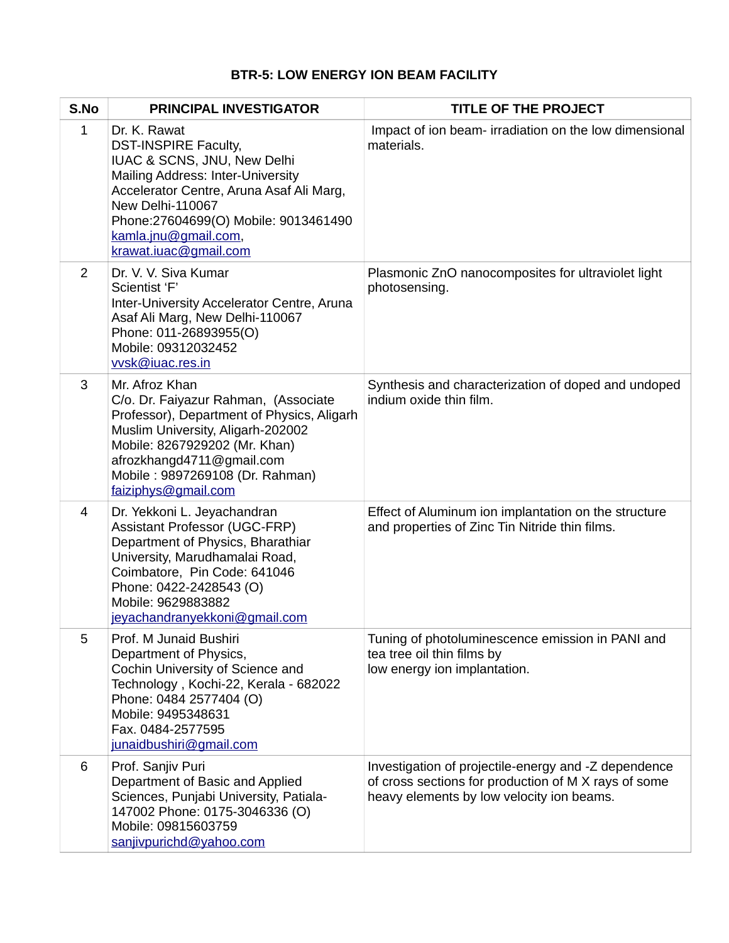## **BTR-5: LOW ENERGY ION BEAM FACILITY**

| S.No        | <b>PRINCIPAL INVESTIGATOR</b>                                                                                                                                                                                                                                                   | <b>TITLE OF THE PROJECT</b>                                                                                                                               |
|-------------|---------------------------------------------------------------------------------------------------------------------------------------------------------------------------------------------------------------------------------------------------------------------------------|-----------------------------------------------------------------------------------------------------------------------------------------------------------|
| $\mathbf 1$ | Dr. K. Rawat<br><b>DST-INSPIRE Faculty,</b><br>IUAC & SCNS, JNU, New Delhi<br><b>Mailing Address: Inter-University</b><br>Accelerator Centre, Aruna Asaf Ali Marg,<br>New Delhi-110067<br>Phone:27604699(O) Mobile: 9013461490<br>kamla.jnu@gmail.com,<br>krawat.iuac@gmail.com | Impact of ion beam-irradiation on the low dimensional<br>materials.                                                                                       |
| 2           | Dr. V. V. Siva Kumar<br>Scientist 'F'<br>Inter-University Accelerator Centre, Aruna<br>Asaf Ali Marg, New Delhi-110067<br>Phone: 011-26893955(O)<br>Mobile: 09312032452<br>vysk@iuac.res.in                                                                                     | Plasmonic ZnO nanocomposites for ultraviolet light<br>photosensing.                                                                                       |
| 3           | Mr. Afroz Khan<br>C/o. Dr. Faiyazur Rahman, (Associate<br>Professor), Department of Physics, Aligarh<br>Muslim University, Aligarh-202002<br>Mobile: 8267929202 (Mr. Khan)<br>afrozkhangd4711@gmail.com<br>Mobile: 9897269108 (Dr. Rahman)<br>faiziphys@gmail.com               | Synthesis and characterization of doped and undoped<br>indium oxide thin film.                                                                            |
| 4           | Dr. Yekkoni L. Jeyachandran<br><b>Assistant Professor (UGC-FRP)</b><br>Department of Physics, Bharathiar<br>University, Marudhamalai Road,<br>Coimbatore, Pin Code: 641046<br>Phone: 0422-2428543 (O)<br>Mobile: 9629883882<br>jeyachandranyekkoni@gmail.com                    | Effect of Aluminum ion implantation on the structure<br>and properties of Zinc Tin Nitride thin films.                                                    |
| 5           | Prof. M Junaid Bushiri<br>Department of Physics,<br>Cochin University of Science and<br>Technology, Kochi-22, Kerala - 682022<br>Phone: 0484 2577404 (O)<br>Mobile: 9495348631<br>Fax. 0484-2577595<br>junaidbushiri@gmail.com                                                  | Tuning of photoluminescence emission in PANI and<br>tea tree oil thin films by<br>low energy ion implantation.                                            |
| 6           | Prof. Sanjiv Puri<br>Department of Basic and Applied<br>Sciences, Punjabi University, Patiala-<br>147002 Phone: 0175-3046336 (O)<br>Mobile: 09815603759<br>sanjivpurichd@yahoo.com                                                                                              | Investigation of projectile-energy and -Z dependence<br>of cross sections for production of M X rays of some<br>heavy elements by low velocity ion beams. |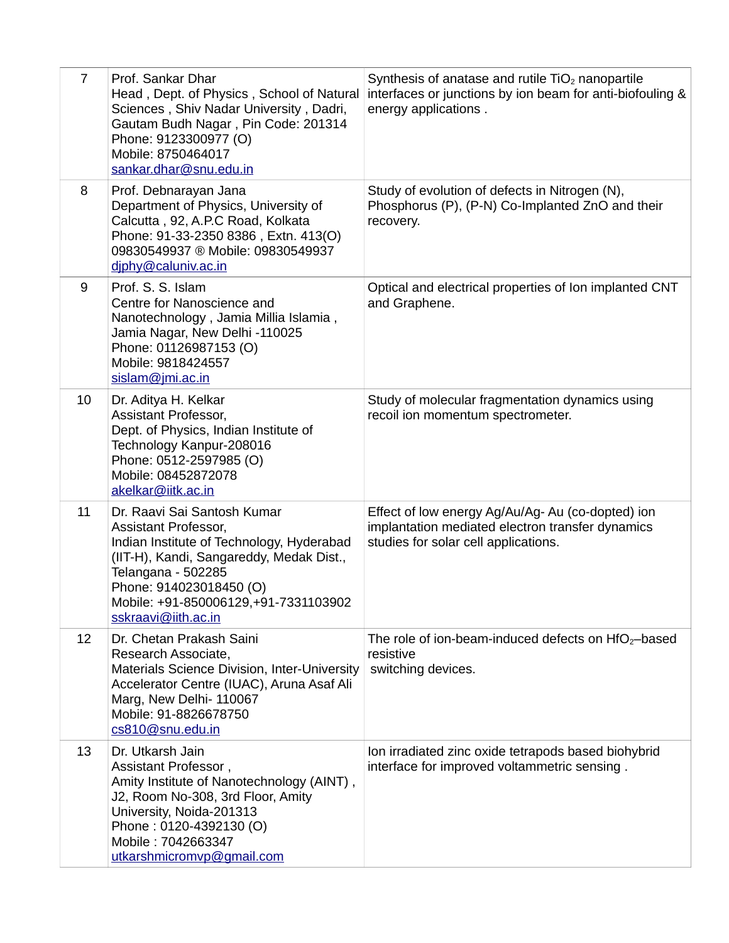| $\overline{7}$ | Prof. Sankar Dhar<br>Head, Dept. of Physics, School of Natural<br>Sciences, Shiv Nadar University, Dadri,<br>Gautam Budh Nagar, Pin Code: 201314<br>Phone: 9123300977 (O)<br>Mobile: 8750464017<br>sankar.dhar@snu.edu.in                                    | Synthesis of anatase and rutile TiO <sub>2</sub> nanopartile<br>interfaces or junctions by ion beam for anti-biofouling &<br>energy applications. |
|----------------|--------------------------------------------------------------------------------------------------------------------------------------------------------------------------------------------------------------------------------------------------------------|---------------------------------------------------------------------------------------------------------------------------------------------------|
| 8              | Prof. Debnarayan Jana<br>Department of Physics, University of<br>Calcutta, 92, A.P.C Road, Kolkata<br>Phone: 91-33-2350 8386, Extn. 413(O)<br>09830549937 ® Mobile: 09830549937<br>diphy@caluniv.ac.in                                                       | Study of evolution of defects in Nitrogen (N),<br>Phosphorus (P), (P-N) Co-Implanted ZnO and their<br>recovery.                                   |
| 9              | Prof. S. S. Islam<br>Centre for Nanoscience and<br>Nanotechnology, Jamia Millia Islamia,<br>Jamia Nagar, New Delhi -110025<br>Phone: 01126987153 (O)<br>Mobile: 9818424557<br>sislam@jmi.ac.in                                                               | Optical and electrical properties of Ion implanted CNT<br>and Graphene.                                                                           |
| 10             | Dr. Aditya H. Kelkar<br>Assistant Professor,<br>Dept. of Physics, Indian Institute of<br>Technology Kanpur-208016<br>Phone: 0512-2597985 (O)<br>Mobile: 08452872078<br>akelkar@iitk.ac.in                                                                    | Study of molecular fragmentation dynamics using<br>recoil ion momentum spectrometer.                                                              |
| 11             | Dr. Raavi Sai Santosh Kumar<br>Assistant Professor,<br>Indian Institute of Technology, Hyderabad<br>(IIT-H), Kandi, Sangareddy, Medak Dist.,<br>Telangana - 502285<br>Phone: 914023018450 (O)<br>Mobile: +91-850006129,+91-7331103902<br>sskraavi@iith.ac.in | Effect of low energy Ag/Au/Ag-Au (co-dopted) ion<br>implantation mediated electron transfer dynamics<br>studies for solar cell applications.      |
| 12             | Dr. Chetan Prakash Saini<br>Research Associate,<br>Materials Science Division, Inter-University<br>Accelerator Centre (IUAC), Aruna Asaf Ali<br>Marg, New Delhi-110067<br>Mobile: 91-8826678750<br>cs810@snu.edu.in                                          | The role of ion-beam-induced defects on $HfO2$ -based<br>resistive<br>switching devices.                                                          |
| 13             | Dr. Utkarsh Jain<br>Assistant Professor,<br>Amity Institute of Nanotechnology (AINT),<br>J2, Room No-308, 3rd Floor, Amity<br>University, Noida-201313<br>Phone: 0120-4392130 (O)<br>Mobile: 7042663347<br>utkarshmicromvp@gmail.com                         | Ion irradiated zinc oxide tetrapods based biohybrid<br>interface for improved voltammetric sensing.                                               |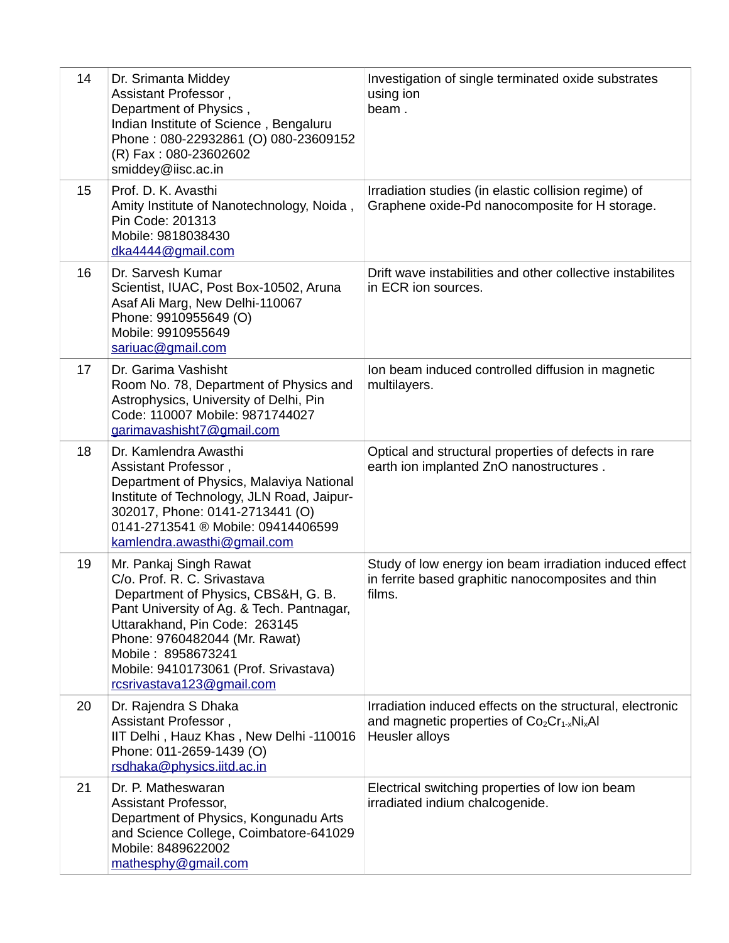| 14 | Dr. Srimanta Middey<br>Assistant Professor,<br>Department of Physics,<br>Indian Institute of Science, Bengaluru<br>Phone: 080-22932861 (O) 080-23609152<br>(R) Fax: 080-23602602<br>smiddey@iisc.ac.in                                                                                                  | Investigation of single terminated oxide substrates<br>using ion<br>beam.                                                      |
|----|---------------------------------------------------------------------------------------------------------------------------------------------------------------------------------------------------------------------------------------------------------------------------------------------------------|--------------------------------------------------------------------------------------------------------------------------------|
| 15 | Prof. D. K. Avasthi<br>Amity Institute of Nanotechnology, Noida,<br>Pin Code: 201313<br>Mobile: 9818038430<br>dka4444@gmail.com                                                                                                                                                                         | Irradiation studies (in elastic collision regime) of<br>Graphene oxide-Pd nanocomposite for H storage.                         |
| 16 | Dr. Sarvesh Kumar<br>Scientist, IUAC, Post Box-10502, Aruna<br>Asaf Ali Marg, New Delhi-110067<br>Phone: 9910955649 (O)<br>Mobile: 9910955649<br>sariuac@gmail.com                                                                                                                                      | Drift wave instabilities and other collective instabilites<br>in ECR ion sources.                                              |
| 17 | Dr. Garima Vashisht<br>Room No. 78, Department of Physics and<br>Astrophysics, University of Delhi, Pin<br>Code: 110007 Mobile: 9871744027<br>garimavashisht7@gmail.com                                                                                                                                 | Ion beam induced controlled diffusion in magnetic<br>multilayers.                                                              |
| 18 | Dr. Kamlendra Awasthi<br>Assistant Professor,<br>Department of Physics, Malaviya National<br>Institute of Technology, JLN Road, Jaipur-<br>302017, Phone: 0141-2713441 (O)<br>0141-2713541 ® Mobile: 09414406599<br>kamlendra.awasthi@gmail.com                                                         | Optical and structural properties of defects in rare<br>earth ion implanted ZnO nanostructures.                                |
| 19 | Mr. Pankaj Singh Rawat<br>C/o. Prof. R. C. Srivastava<br>Department of Physics, CBS&H, G. B.<br>Pant University of Ag. & Tech. Pantnagar,<br>Uttarakhand, Pin Code: 263145<br>Phone: 9760482044 (Mr. Rawat)<br>Mobile: 8958673241<br>Mobile: 9410173061 (Prof. Srivastava)<br>rcsrivastava123@gmail.com | Study of low energy ion beam irradiation induced effect<br>in ferrite based graphitic nanocomposites and thin<br>films.        |
| 20 | Dr. Rajendra S Dhaka<br>Assistant Professor,<br>IIT Delhi, Hauz Khas, New Delhi -110016<br>Phone: 011-2659-1439 (O)<br>rsdhaka@physics.iitd.ac.in                                                                                                                                                       | Irradiation induced effects on the structural, electronic<br>and magnetic properties of $Co_2Cr_{1-x}Ni_xAl$<br>Heusler alloys |
| 21 | Dr. P. Matheswaran<br>Assistant Professor,<br>Department of Physics, Kongunadu Arts<br>and Science College, Coimbatore-641029<br>Mobile: 8489622002<br>mathesphy@gmail.com                                                                                                                              | Electrical switching properties of low ion beam<br>irradiated indium chalcogenide.                                             |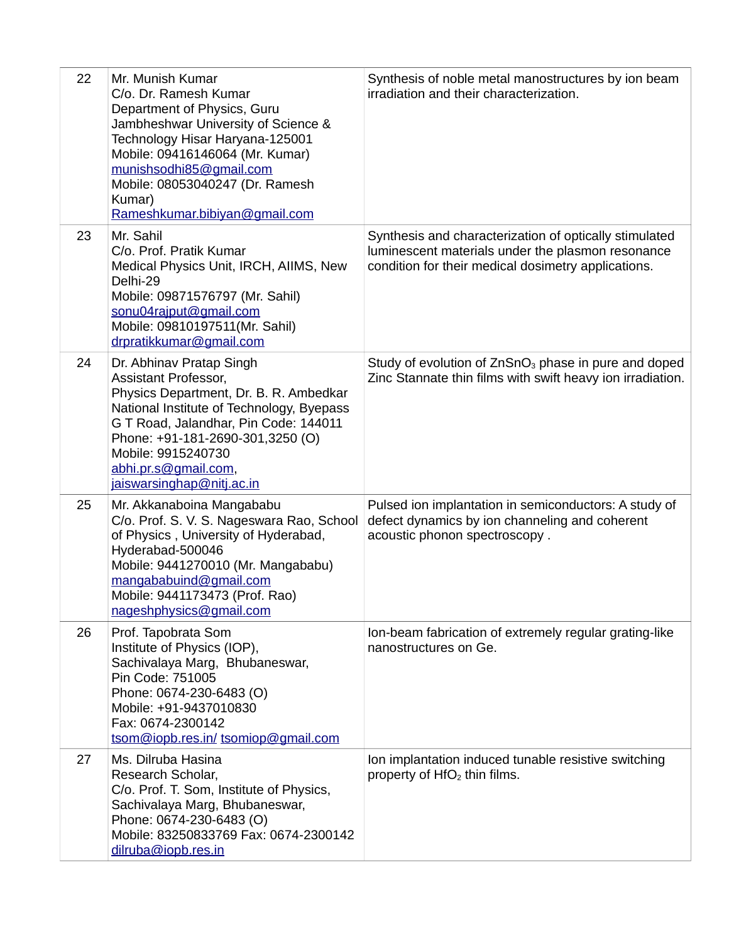| 22 | Mr. Munish Kumar<br>C/o. Dr. Ramesh Kumar<br>Department of Physics, Guru<br>Jambheshwar University of Science &<br>Technology Hisar Haryana-125001<br>Mobile: 09416146064 (Mr. Kumar)<br>munishsodhi85@gmail.com<br>Mobile: 08053040247 (Dr. Ramesh<br>Kumar)<br>Rameshkumar.bibiyan@gmail.com  | Synthesis of noble metal manostructures by ion beam<br>irradiation and their characterization.                                                                     |
|----|-------------------------------------------------------------------------------------------------------------------------------------------------------------------------------------------------------------------------------------------------------------------------------------------------|--------------------------------------------------------------------------------------------------------------------------------------------------------------------|
| 23 | Mr. Sahil<br>C/o. Prof. Pratik Kumar<br>Medical Physics Unit, IRCH, AIIMS, New<br>Delhi-29<br>Mobile: 09871576797 (Mr. Sahil)<br>sonu04rajput@gmail.com<br>Mobile: 09810197511(Mr. Sahil)<br>drpratikkumar@gmail.com                                                                            | Synthesis and characterization of optically stimulated<br>luminescent materials under the plasmon resonance<br>condition for their medical dosimetry applications. |
| 24 | Dr. Abhinav Pratap Singh<br>Assistant Professor,<br>Physics Department, Dr. B. R. Ambedkar<br>National Institute of Technology, Byepass<br>G T Road, Jalandhar, Pin Code: 144011<br>Phone: +91-181-2690-301,3250 (O)<br>Mobile: 9915240730<br>abhi.pr.s@gmail.com,<br>jaiswarsinghap@nitj.ac.in | Study of evolution of ZnSnO <sub>3</sub> phase in pure and doped<br>Zinc Stannate thin films with swift heavy ion irradiation.                                     |
| 25 | Mr. Akkanaboina Mangababu<br>C/o. Prof. S. V. S. Nageswara Rao, School<br>of Physics, University of Hyderabad,<br>Hyderabad-500046<br>Mobile: 9441270010 (Mr. Mangababu)<br>mangababuind@gmail.com<br>Mobile: 9441173473 (Prof. Rao)<br>nageshphysics@gmail.com                                 | Pulsed ion implantation in semiconductors: A study of<br>defect dynamics by ion channeling and coherent<br>acoustic phonon spectroscopy.                           |
| 26 | Prof. Tapobrata Som<br>Institute of Physics (IOP),<br>Sachivalaya Marg, Bhubaneswar,<br>Pin Code: 751005<br>Phone: 0674-230-6483 (O)<br>Mobile: +91-9437010830<br>Fax: 0674-2300142<br>tsom@iopb.res.in/tsomiop@gmail.com                                                                       | Ion-beam fabrication of extremely regular grating-like<br>nanostructures on Ge.                                                                                    |
| 27 | Ms. Dilruba Hasina<br>Research Scholar,<br>C/o. Prof. T. Som, Institute of Physics,<br>Sachivalaya Marg, Bhubaneswar,<br>Phone: 0674-230-6483 (O)<br>Mobile: 83250833769 Fax: 0674-2300142<br>dilruba@iopb.res.in                                                                               | Ion implantation induced tunable resistive switching<br>property of $HfO2$ thin films.                                                                             |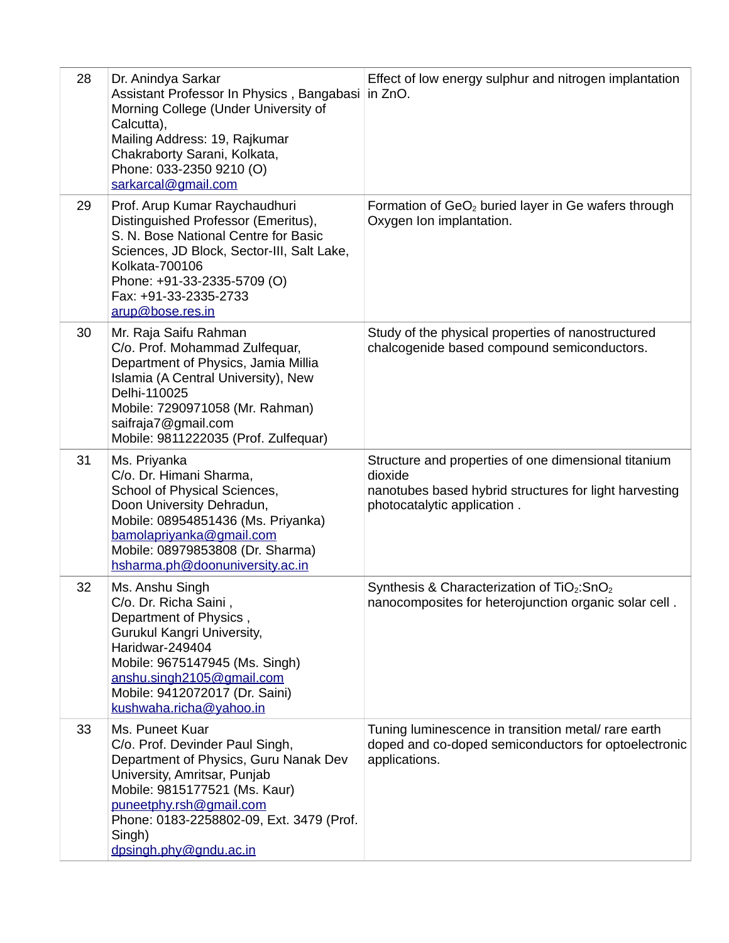| 28 | Dr. Anindya Sarkar<br>Assistant Professor In Physics, Bangabasi in ZnO.<br>Morning College (Under University of<br>Calcutta),<br>Mailing Address: 19, Rajkumar<br>Chakraborty Sarani, Kolkata,<br>Phone: 033-2350 9210 (O)<br>sarkarcal@gmail.com                       | Effect of low energy sulphur and nitrogen implantation                                                                                                   |
|----|-------------------------------------------------------------------------------------------------------------------------------------------------------------------------------------------------------------------------------------------------------------------------|----------------------------------------------------------------------------------------------------------------------------------------------------------|
| 29 | Prof. Arup Kumar Raychaudhuri<br>Distinguished Professor (Emeritus),<br>S. N. Bose National Centre for Basic<br>Sciences, JD Block, Sector-III, Salt Lake,<br>Kolkata-700106<br>Phone: +91-33-2335-5709 (O)<br>Fax: +91-33-2335-2733<br>arup@bose.res.in                | Formation of $GeO2$ buried layer in Ge wafers through<br>Oxygen Ion implantation.                                                                        |
| 30 | Mr. Raja Saifu Rahman<br>C/o. Prof. Mohammad Zulfequar,<br>Department of Physics, Jamia Millia<br>Islamia (A Central University), New<br>Delhi-110025<br>Mobile: 7290971058 (Mr. Rahman)<br>saifraja7@gmail.com<br>Mobile: 9811222035 (Prof. Zulfequar)                 | Study of the physical properties of nanostructured<br>chalcogenide based compound semiconductors.                                                        |
| 31 | Ms. Priyanka<br>C/o. Dr. Himani Sharma,<br>School of Physical Sciences,<br>Doon University Dehradun,<br>Mobile: 08954851436 (Ms. Priyanka)<br>bamolapriyanka@gmail.com<br>Mobile: 08979853808 (Dr. Sharma)<br>hsharma.ph@doonuniversity.ac.in                           | Structure and properties of one dimensional titanium<br>dioxide<br>nanotubes based hybrid structures for light harvesting<br>photocatalytic application. |
| 32 | Ms. Anshu Singh<br>C/o. Dr. Richa Saini,<br>Department of Physics,<br>Gurukul Kangri University,<br>Haridwar-249404<br>Mobile: 9675147945 (Ms. Singh)<br>anshu.singh2105@gmail.com<br>Mobile: 9412072017 (Dr. Saini)<br>kushwaha.richa@yahoo.in                         | Synthesis & Characterization of TiO <sub>2</sub> :SnO <sub>2</sub><br>nanocomposites for heterojunction organic solar cell.                              |
| 33 | Ms. Puneet Kuar<br>C/o. Prof. Devinder Paul Singh,<br>Department of Physics, Guru Nanak Dev<br>University, Amritsar, Punjab<br>Mobile: 9815177521 (Ms. Kaur)<br>puneetphy.rsh@gmail.com<br>Phone: 0183-2258802-09, Ext. 3479 (Prof.<br>Singh)<br>dpsingh.phy@gndu.ac.in | Tuning luminescence in transition metal/ rare earth<br>doped and co-doped semiconductors for optoelectronic<br>applications.                             |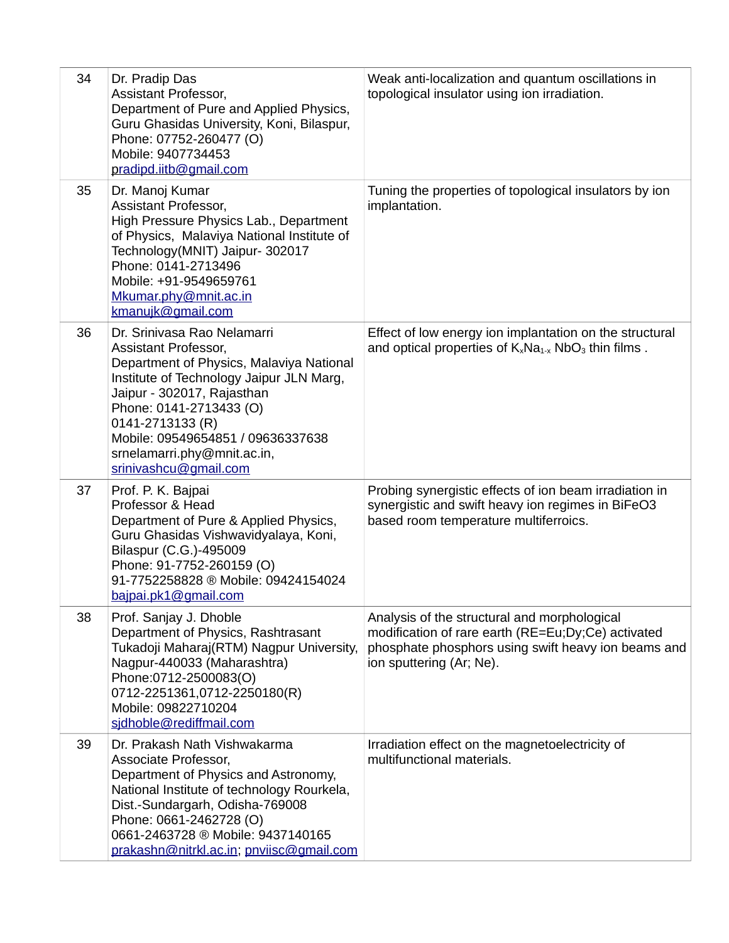| 34 | Dr. Pradip Das<br>Assistant Professor,<br>Department of Pure and Applied Physics,<br>Guru Ghasidas University, Koni, Bilaspur,<br>Phone: 07752-260477 (O)<br>Mobile: 9407734453<br>pradipd.iitb@gmail.com                                                                                                             | Weak anti-localization and quantum oscillations in<br>topological insulator using ion irradiation.                                                                                    |
|----|-----------------------------------------------------------------------------------------------------------------------------------------------------------------------------------------------------------------------------------------------------------------------------------------------------------------------|---------------------------------------------------------------------------------------------------------------------------------------------------------------------------------------|
| 35 | Dr. Manoj Kumar<br>Assistant Professor,<br>High Pressure Physics Lab., Department<br>of Physics, Malaviya National Institute of<br>Technology(MNIT) Jaipur- 302017<br>Phone: 0141-2713496<br>Mobile: +91-9549659761<br>Mkumar.phy@mnit.ac.in<br>kmanujk@gmail.com                                                     | Tuning the properties of topological insulators by ion<br>implantation.                                                                                                               |
| 36 | Dr. Srinivasa Rao Nelamarri<br>Assistant Professor,<br>Department of Physics, Malaviya National<br>Institute of Technology Jaipur JLN Marg,<br>Jaipur - 302017, Rajasthan<br>Phone: 0141-2713433 (O)<br>0141-2713133 (R)<br>Mobile: 09549654851 / 09636337638<br>srnelamarri.phy@mnit.ac.in,<br>srinivashcu@gmail.com | Effect of low energy ion implantation on the structural<br>and optical properties of $K_xNa_{1-x}NbO_3$ thin films.                                                                   |
| 37 | Prof. P. K. Bajpai<br>Professor & Head<br>Department of Pure & Applied Physics,<br>Guru Ghasidas Vishwavidyalaya, Koni,<br>Bilaspur (C.G.)-495009<br>Phone: 91-7752-260159 (O)<br>91-7752258828 ® Mobile: 09424154024<br>bajpai.pk1@gmail.com                                                                         | Probing synergistic effects of ion beam irradiation in<br>synergistic and swift heavy ion regimes in BiFeO3<br>based room temperature multiferroics.                                  |
| 38 | Prof. Sanjay J. Dhoble<br>Department of Physics, Rashtrasant<br>Tukadoji Maharaj(RTM) Nagpur University,<br>Nagpur-440033 (Maharashtra)<br>Phone:0712-2500083(O)<br>0712-2251361,0712-2250180(R)<br>Mobile: 09822710204<br>sidhoble@rediffmail.com                                                                    | Analysis of the structural and morphological<br>modification of rare earth (RE=Eu;Dy;Ce) activated<br>phosphate phosphors using swift heavy ion beams and<br>ion sputtering (Ar; Ne). |
| 39 | Dr. Prakash Nath Vishwakarma<br>Associate Professor,<br>Department of Physics and Astronomy,<br>National Institute of technology Rourkela,<br>Dist.-Sundargarh, Odisha-769008<br>Phone: 0661-2462728 (O)<br>0661-2463728 ® Mobile: 9437140165<br>prakashn@nitrkl.ac.in; pnviisc@gmail.com                             | Irradiation effect on the magnetoelectricity of<br>multifunctional materials.                                                                                                         |